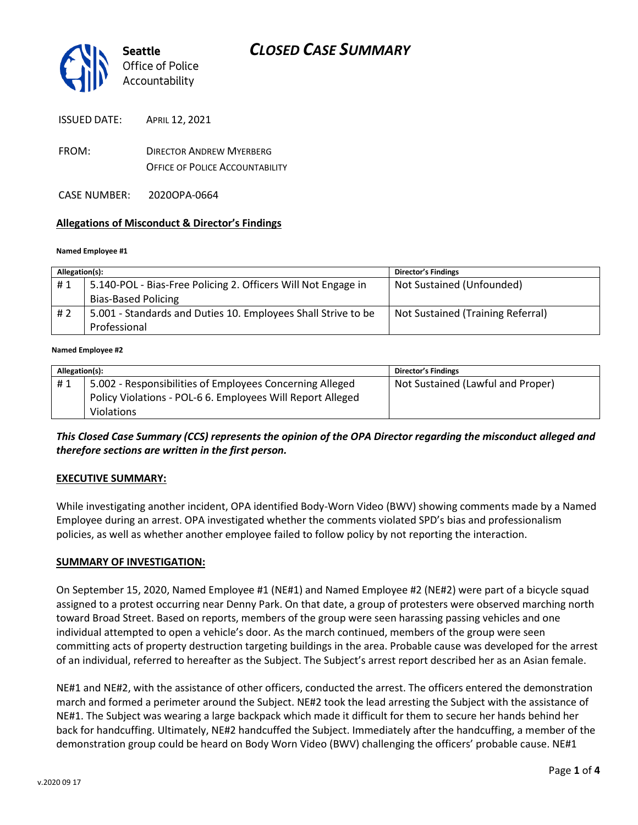

- FROM: DIRECTOR ANDREW MYERBERG OFFICE OF POLICE ACCOUNTABILITY
- CASE NUMBER: 2020OPA-0664

#### **Allegations of Misconduct & Director's Findings**

#### **Named Employee #1**

| Allegation(s): |                                                               | <b>Director's Findings</b>        |
|----------------|---------------------------------------------------------------|-----------------------------------|
| #1             | 5.140-POL - Bias-Free Policing 2. Officers Will Not Engage in | Not Sustained (Unfounded)         |
|                | <b>Bias-Based Policing</b>                                    |                                   |
| # 2            | 5.001 - Standards and Duties 10. Employees Shall Strive to be | Not Sustained (Training Referral) |
|                | Professional                                                  |                                   |
|                |                                                               |                                   |

#### **Named Employee #2**

| Allegation(s): |                                                            | Director's Findings               |
|----------------|------------------------------------------------------------|-----------------------------------|
| #1             | 5.002 - Responsibilities of Employees Concerning Alleged   | Not Sustained (Lawful and Proper) |
|                | Policy Violations - POL-6 6. Employees Will Report Alleged |                                   |
|                | <b>Violations</b>                                          |                                   |

#### *This Closed Case Summary (CCS) represents the opinion of the OPA Director regarding the misconduct alleged and therefore sections are written in the first person.*

#### **EXECUTIVE SUMMARY:**

While investigating another incident, OPA identified Body-Worn Video (BWV) showing comments made by a Named Employee during an arrest. OPA investigated whether the comments violated SPD's bias and professionalism policies, as well as whether another employee failed to follow policy by not reporting the interaction.

#### **SUMMARY OF INVESTIGATION:**

On September 15, 2020, Named Employee #1 (NE#1) and Named Employee #2 (NE#2) were part of a bicycle squad assigned to a protest occurring near Denny Park. On that date, a group of protesters were observed marching north toward Broad Street. Based on reports, members of the group were seen harassing passing vehicles and one individual attempted to open a vehicle's door. As the march continued, members of the group were seen committing acts of property destruction targeting buildings in the area. Probable cause was developed for the arrest of an individual, referred to hereafter as the Subject. The Subject's arrest report described her as an Asian female.

NE#1 and NE#2, with the assistance of other officers, conducted the arrest. The officers entered the demonstration march and formed a perimeter around the Subject. NE#2 took the lead arresting the Subject with the assistance of NE#1. The Subject was wearing a large backpack which made it difficult for them to secure her hands behind her back for handcuffing. Ultimately, NE#2 handcuffed the Subject. Immediately after the handcuffing, a member of the demonstration group could be heard on Body Worn Video (BWV) challenging the officers' probable cause. NE#1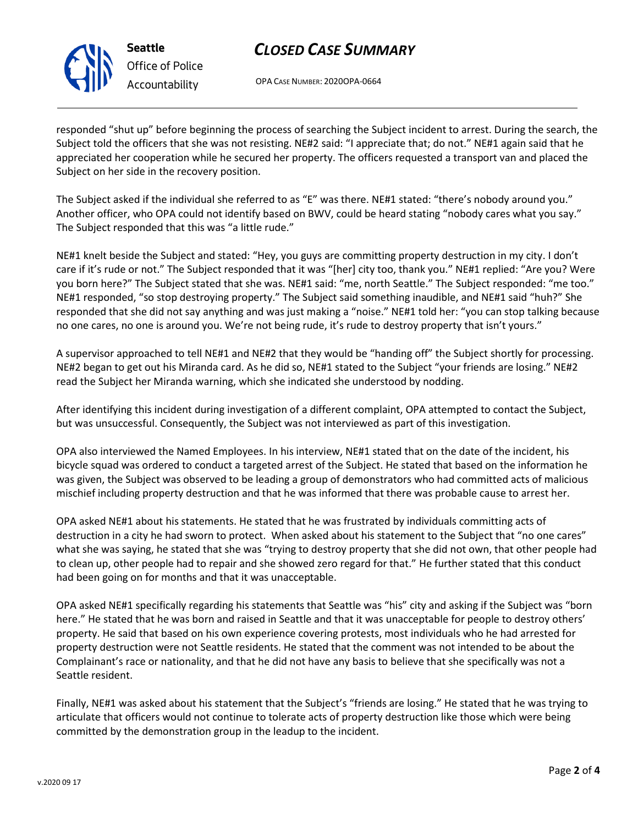

**Seattle** *Office of Police Accountability*

# *CLOSED CASE SUMMARY*

OPA CASE NUMBER: 2020OPA-0664

responded "shut up" before beginning the process of searching the Subject incident to arrest. During the search, the Subject told the officers that she was not resisting. NE#2 said: "I appreciate that; do not." NE#1 again said that he appreciated her cooperation while he secured her property. The officers requested a transport van and placed the Subject on her side in the recovery position.

The Subject asked if the individual she referred to as "E" was there. NE#1 stated: "there's nobody around you." Another officer, who OPA could not identify based on BWV, could be heard stating "nobody cares what you say." The Subject responded that this was "a little rude."

NE#1 knelt beside the Subject and stated: "Hey, you guys are committing property destruction in my city. I don't care if it's rude or not." The Subject responded that it was "[her] city too, thank you." NE#1 replied: "Are you? Were you born here?" The Subject stated that she was. NE#1 said: "me, north Seattle." The Subject responded: "me too." NE#1 responded, "so stop destroying property." The Subject said something inaudible, and NE#1 said "huh?" She responded that she did not say anything and was just making a "noise." NE#1 told her: "you can stop talking because no one cares, no one is around you. We're not being rude, it's rude to destroy property that isn't yours."

A supervisor approached to tell NE#1 and NE#2 that they would be "handing off" the Subject shortly for processing. NE#2 began to get out his Miranda card. As he did so, NE#1 stated to the Subject "your friends are losing." NE#2 read the Subject her Miranda warning, which she indicated she understood by nodding.

After identifying this incident during investigation of a different complaint, OPA attempted to contact the Subject, but was unsuccessful. Consequently, the Subject was not interviewed as part of this investigation.

OPA also interviewed the Named Employees. In his interview, NE#1 stated that on the date of the incident, his bicycle squad was ordered to conduct a targeted arrest of the Subject. He stated that based on the information he was given, the Subject was observed to be leading a group of demonstrators who had committed acts of malicious mischief including property destruction and that he was informed that there was probable cause to arrest her.

OPA asked NE#1 about his statements. He stated that he was frustrated by individuals committing acts of destruction in a city he had sworn to protect. When asked about his statement to the Subject that "no one cares" what she was saying, he stated that she was "trying to destroy property that she did not own, that other people had to clean up, other people had to repair and she showed zero regard for that." He further stated that this conduct had been going on for months and that it was unacceptable.

OPA asked NE#1 specifically regarding his statements that Seattle was "his" city and asking if the Subject was "born here." He stated that he was born and raised in Seattle and that it was unacceptable for people to destroy others' property. He said that based on his own experience covering protests, most individuals who he had arrested for property destruction were not Seattle residents. He stated that the comment was not intended to be about the Complainant's race or nationality, and that he did not have any basis to believe that she specifically was not a Seattle resident.

Finally, NE#1 was asked about his statement that the Subject's "friends are losing." He stated that he was trying to articulate that officers would not continue to tolerate acts of property destruction like those which were being committed by the demonstration group in the leadup to the incident.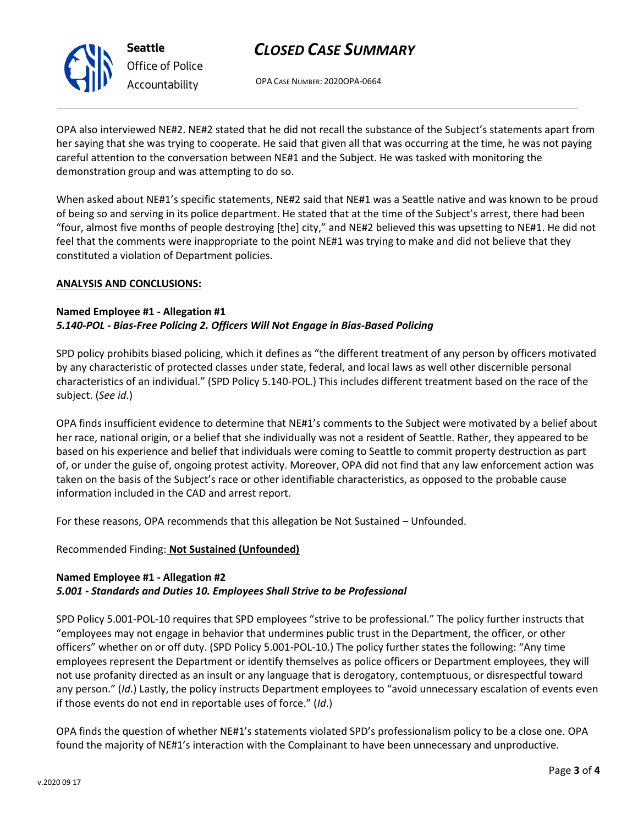

# *CLOSED CASE SUMMARY*

OPA CASE NUMBER: 2020OPA-0664

OPA also interviewed NE#2. NE#2 stated that he did not recall the substance of the Subject's statements apart from her saying that she was trying to cooperate. He said that given all that was occurring at the time, he was not paying careful attention to the conversation between NE#1 and the Subject. He was tasked with monitoring the demonstration group and was attempting to do so.

When asked about NE#1's specific statements, NE#2 said that NE#1 was a Seattle native and was known to be proud of being so and serving in its police department. He stated that at the time of the Subject's arrest, there had been "four, almost five months of people destroying [the] city," and NE#2 believed this was upsetting to NE#1. He did not feel that the comments were inappropriate to the point NE#1 was trying to make and did not believe that they constituted a violation of Department policies.

#### **ANALYSIS AND CONCLUSIONS:**

#### **Named Employee #1 - Allegation #1** *5.140-POL - Bias-Free Policing 2. Officers Will Not Engage in Bias-Based Policing*

SPD policy prohibits biased policing, which it defines as "the different treatment of any person by officers motivated by any characteristic of protected classes under state, federal, and local laws as well other discernible personal characteristics of an individual." (SPD Policy 5.140-POL.) This includes different treatment based on the race of the subject. (*See id*.)

OPA finds insufficient evidence to determine that NE#1's comments to the Subject were motivated by a belief about her race, national origin, or a belief that she individually was not a resident of Seattle. Rather, they appeared to be based on his experience and belief that individuals were coming to Seattle to commit property destruction as part of, or under the guise of, ongoing protest activity. Moreover, OPA did not find that any law enforcement action was taken on the basis of the Subject's race or other identifiable characteristics, as opposed to the probable cause information included in the CAD and arrest report.

For these reasons, OPA recommends that this allegation be Not Sustained – Unfounded.

### Recommended Finding: **Not Sustained (Unfounded)**

### **Named Employee #1 - Allegation #2**

### *5.001 - Standards and Duties 10. Employees Shall Strive to be Professional*

SPD Policy 5.001-POL-10 requires that SPD employees "strive to be professional." The policy further instructs that "employees may not engage in behavior that undermines public trust in the Department, the officer, or other officers" whether on or off duty. (SPD Policy 5.001-POL-10.) The policy further states the following: "Any time employees represent the Department or identify themselves as police officers or Department employees, they will not use profanity directed as an insult or any language that is derogatory, contemptuous, or disrespectful toward any person." (*Id*.) Lastly, the policy instructs Department employees to "avoid unnecessary escalation of events even if those events do not end in reportable uses of force." (*Id*.)

OPA finds the question of whether NE#1's statements violated SPD's professionalism policy to be a close one. OPA found the majority of NE#1's interaction with the Complainant to have been unnecessary and unproductive.